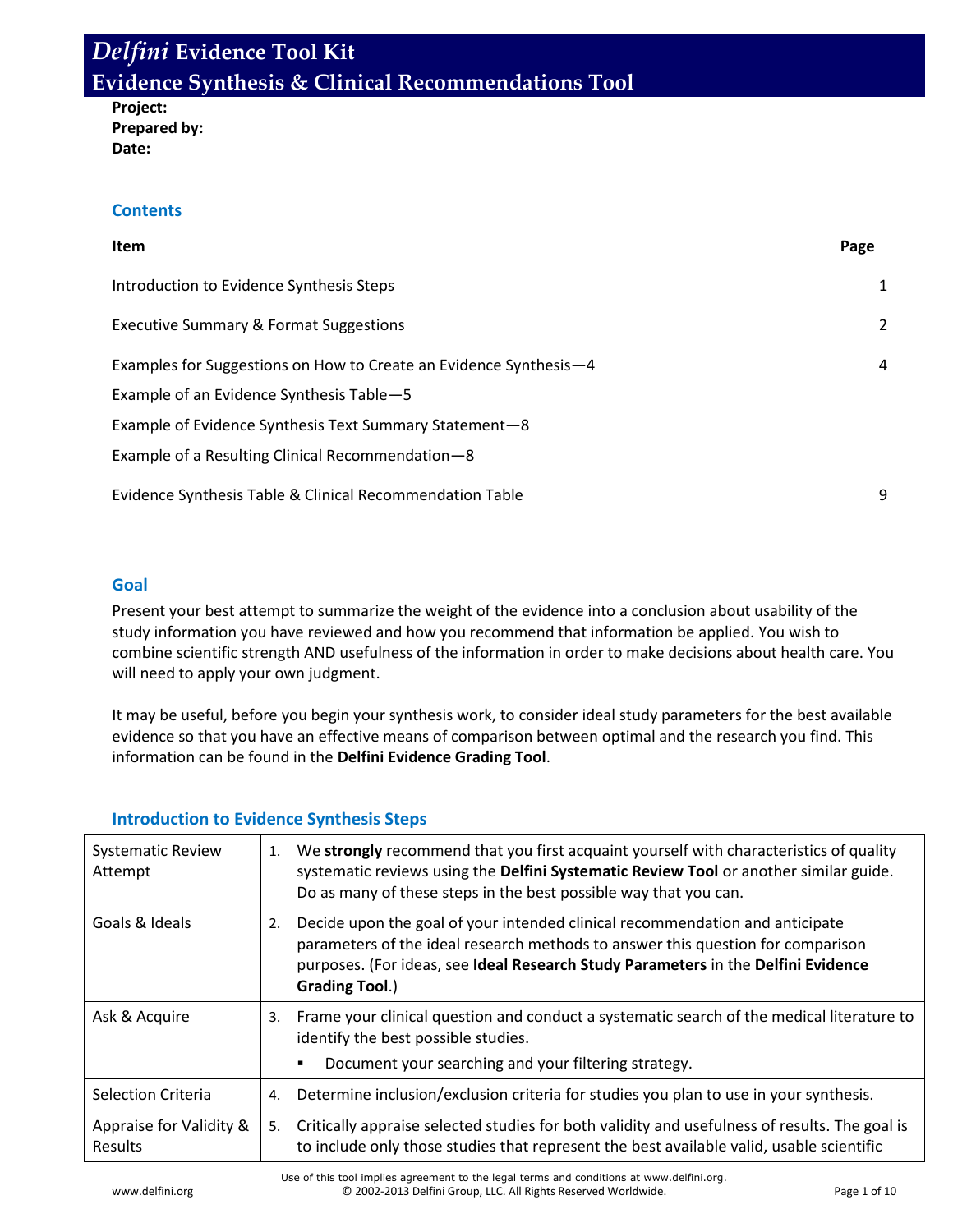**Project: Prepared by: Date:**

### **Contents**

| Item                                                              | Page |
|-------------------------------------------------------------------|------|
| Introduction to Evidence Synthesis Steps                          | 1    |
| <b>Executive Summary &amp; Format Suggestions</b>                 | 2    |
| Examples for Suggestions on How to Create an Evidence Synthesis-4 | 4    |
| Example of an Evidence Synthesis Table-5                          |      |
| Example of Evidence Synthesis Text Summary Statement-8            |      |
| Example of a Resulting Clinical Recommendation-8                  |      |
| Evidence Synthesis Table & Clinical Recommendation Table          | 9    |

### **Goal**

Present your best attempt to summarize the weight of the evidence into a conclusion about usability of the study information you have reviewed and how you recommend that information be applied. You wish to combine scientific strength AND usefulness of the information in order to make decisions about health care. You will need to apply your own judgment.

It may be useful, before you begin your synthesis work, to consider ideal study parameters for the best available evidence so that you have an effective means of comparison between optimal and the research you find. This information can be found in the **Delfini Evidence Grading Tool**.

| <b>Systematic Review</b><br>Attempt | We strongly recommend that you first acquaint yourself with characteristics of quality<br>1.<br>systematic reviews using the Delfini Systematic Review Tool or another similar guide.<br>Do as many of these steps in the best possible way that you can.                           |
|-------------------------------------|-------------------------------------------------------------------------------------------------------------------------------------------------------------------------------------------------------------------------------------------------------------------------------------|
| Goals & Ideals                      | Decide upon the goal of your intended clinical recommendation and anticipate<br>2.<br>parameters of the ideal research methods to answer this question for comparison<br>purposes. (For ideas, see Ideal Research Study Parameters in the Delfini Evidence<br><b>Grading Tool.)</b> |
| Ask & Acquire                       | Frame your clinical question and conduct a systematic search of the medical literature to<br>3.<br>identify the best possible studies.<br>Document your searching and your filtering strategy.                                                                                      |
| <b>Selection Criteria</b>           | Determine inclusion/exclusion criteria for studies you plan to use in your synthesis.<br>4.                                                                                                                                                                                         |
| Appraise for Validity &<br>Results  | Critically appraise selected studies for both validity and usefulness of results. The goal is<br>5.<br>to include only those studies that represent the best available valid, usable scientific                                                                                     |

### **Introduction to Evidence Synthesis Steps**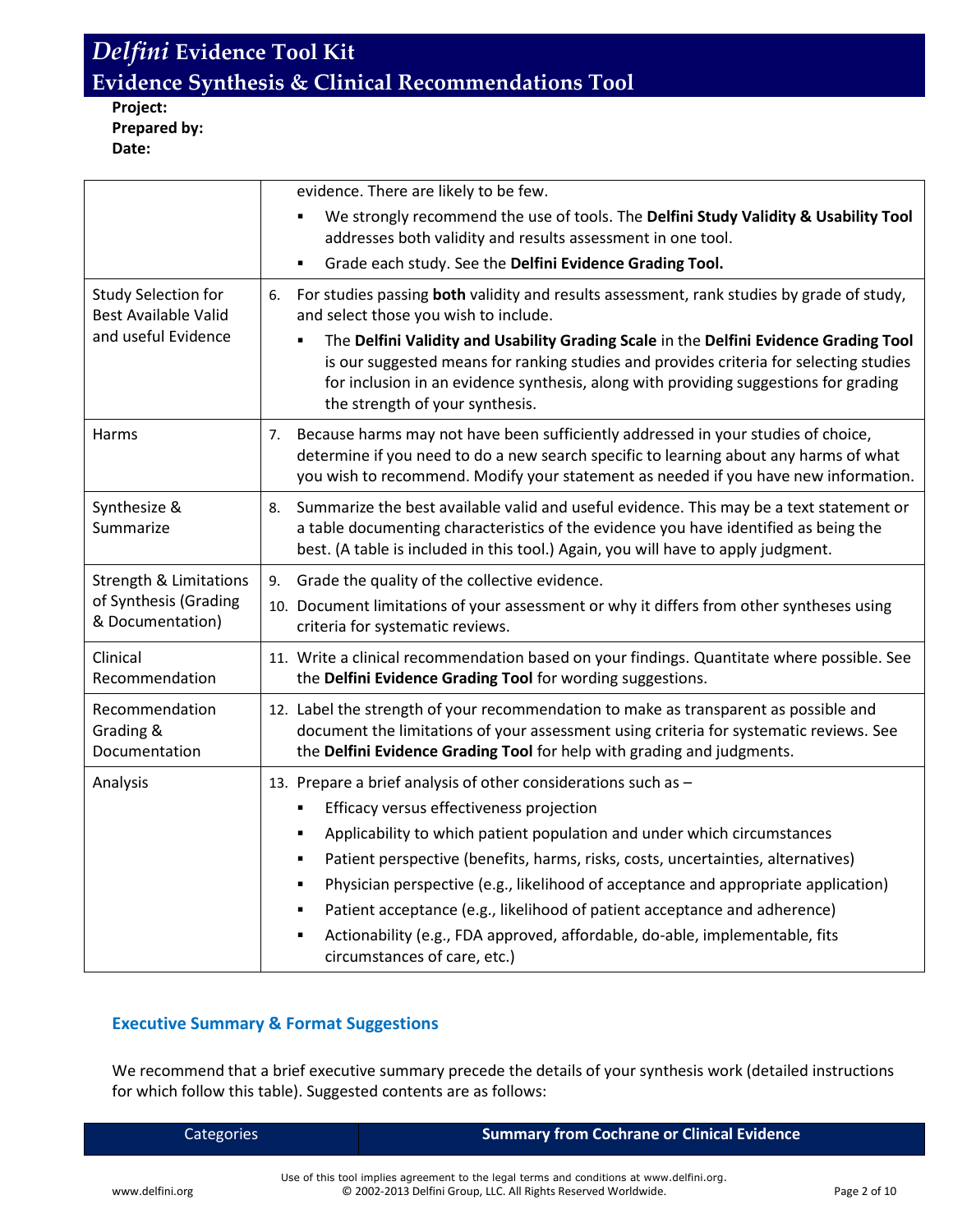**Project: Prepared by: Date:**

|                                                                                | evidence. There are likely to be few.                                                                                                                                                                                                                                                                                                                                                                                                                                                                                                                                                |
|--------------------------------------------------------------------------------|--------------------------------------------------------------------------------------------------------------------------------------------------------------------------------------------------------------------------------------------------------------------------------------------------------------------------------------------------------------------------------------------------------------------------------------------------------------------------------------------------------------------------------------------------------------------------------------|
|                                                                                | We strongly recommend the use of tools. The Delfini Study Validity & Usability Tool<br>addresses both validity and results assessment in one tool.                                                                                                                                                                                                                                                                                                                                                                                                                                   |
|                                                                                | Grade each study. See the Delfini Evidence Grading Tool.<br>$\blacksquare$                                                                                                                                                                                                                                                                                                                                                                                                                                                                                                           |
| <b>Study Selection for</b><br><b>Best Available Valid</b>                      | For studies passing both validity and results assessment, rank studies by grade of study,<br>6.<br>and select those you wish to include.                                                                                                                                                                                                                                                                                                                                                                                                                                             |
| and useful Evidence                                                            | The Delfini Validity and Usability Grading Scale in the Delfini Evidence Grading Tool<br>is our suggested means for ranking studies and provides criteria for selecting studies<br>for inclusion in an evidence synthesis, along with providing suggestions for grading<br>the strength of your synthesis.                                                                                                                                                                                                                                                                           |
| Harms                                                                          | Because harms may not have been sufficiently addressed in your studies of choice,<br>7.<br>determine if you need to do a new search specific to learning about any harms of what<br>you wish to recommend. Modify your statement as needed if you have new information.                                                                                                                                                                                                                                                                                                              |
| Synthesize &<br>Summarize                                                      | Summarize the best available valid and useful evidence. This may be a text statement or<br>8.<br>a table documenting characteristics of the evidence you have identified as being the<br>best. (A table is included in this tool.) Again, you will have to apply judgment.                                                                                                                                                                                                                                                                                                           |
| <b>Strength &amp; Limitations</b><br>of Synthesis (Grading<br>& Documentation) | Grade the quality of the collective evidence.<br>9.<br>10. Document limitations of your assessment or why it differs from other syntheses using<br>criteria for systematic reviews.                                                                                                                                                                                                                                                                                                                                                                                                  |
| Clinical<br>Recommendation                                                     | 11. Write a clinical recommendation based on your findings. Quantitate where possible. See<br>the Delfini Evidence Grading Tool for wording suggestions.                                                                                                                                                                                                                                                                                                                                                                                                                             |
| Recommendation<br>Grading &<br>Documentation                                   | 12. Label the strength of your recommendation to make as transparent as possible and<br>document the limitations of your assessment using criteria for systematic reviews. See<br>the Delfini Evidence Grading Tool for help with grading and judgments.                                                                                                                                                                                                                                                                                                                             |
| Analysis                                                                       | 13. Prepare a brief analysis of other considerations such as -<br>Efficacy versus effectiveness projection<br>٠<br>Applicability to which patient population and under which circumstances<br>Patient perspective (benefits, harms, risks, costs, uncertainties, alternatives)<br>٠<br>Physician perspective (e.g., likelihood of acceptance and appropriate application)<br>٠<br>Patient acceptance (e.g., likelihood of patient acceptance and adherence)<br>٠<br>Actionability (e.g., FDA approved, affordable, do-able, implementable, fits<br>٠<br>circumstances of care, etc.) |

### **Executive Summary & Format Suggestions**

We recommend that a brief executive summary precede the details of your synthesis work (detailed instructions for which follow this table). Suggested contents are as follows:

| Categories |  |  |  |
|------------|--|--|--|
|            |  |  |  |

#### **Summary from Cochrane or Clinical Evidence**

Use of this tool implies agreement to the legal terms and conditions at www.delfini.org. www.delfini.org entitled the CD 2002-2013 Delfini Group, LLC. All Rights Reserved Worldwide. Page 2 of 10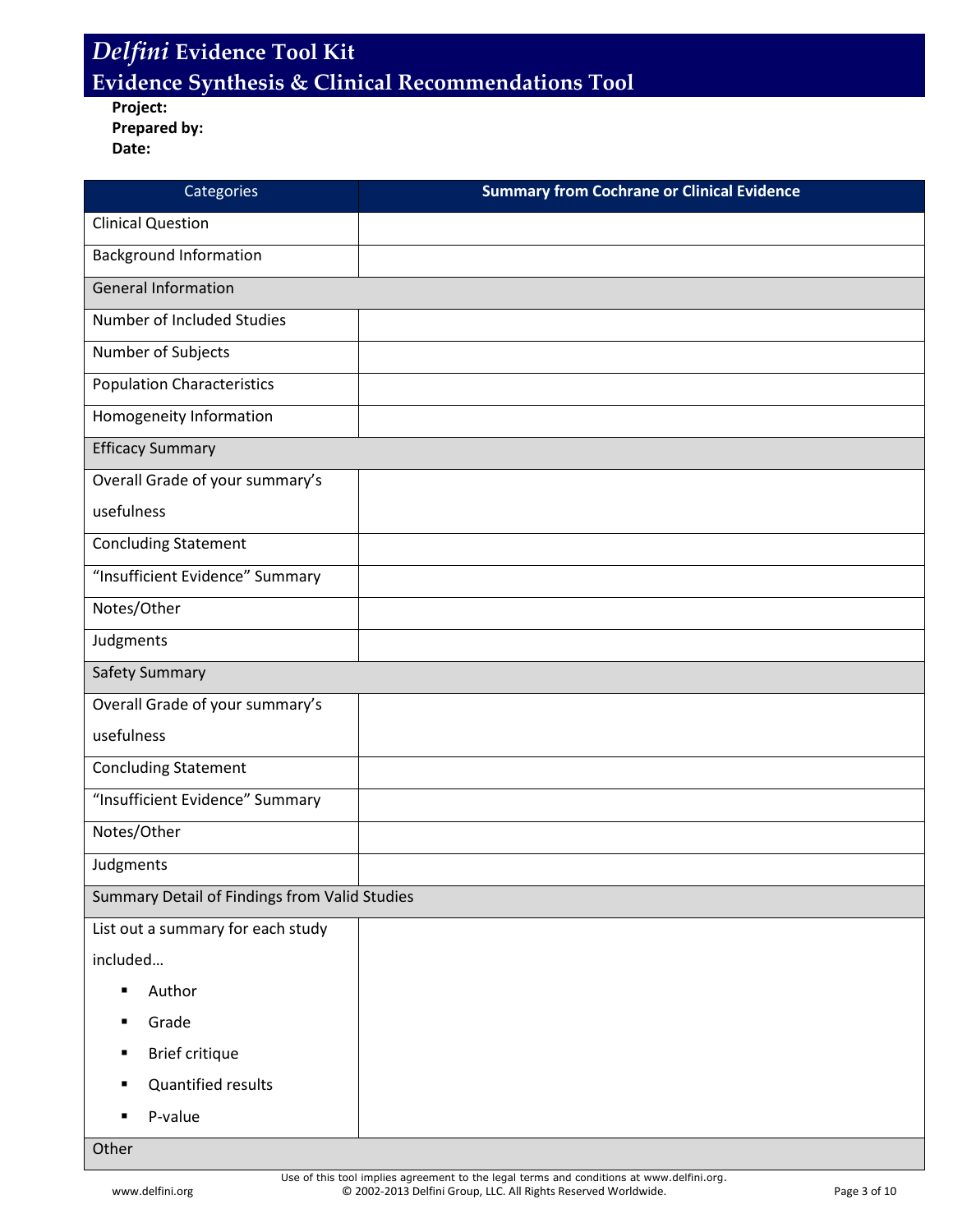**Project: Prepared by:**

**Date:**

| Categories                                    | <b>Summary from Cochrane or Clinical Evidence</b> |
|-----------------------------------------------|---------------------------------------------------|
| <b>Clinical Question</b>                      |                                                   |
| <b>Background Information</b>                 |                                                   |
| <b>General Information</b>                    |                                                   |
| Number of Included Studies                    |                                                   |
| Number of Subjects                            |                                                   |
| <b>Population Characteristics</b>             |                                                   |
| Homogeneity Information                       |                                                   |
| <b>Efficacy Summary</b>                       |                                                   |
| Overall Grade of your summary's               |                                                   |
| usefulness                                    |                                                   |
| <b>Concluding Statement</b>                   |                                                   |
| "Insufficient Evidence" Summary               |                                                   |
| Notes/Other                                   |                                                   |
| Judgments                                     |                                                   |
| Safety Summary                                |                                                   |
| Overall Grade of your summary's               |                                                   |
| usefulness                                    |                                                   |
| <b>Concluding Statement</b>                   |                                                   |
| "Insufficient Evidence" Summary               |                                                   |
| Notes/Other                                   |                                                   |
| Judgments                                     |                                                   |
| Summary Detail of Findings from Valid Studies |                                                   |
| List out a summary for each study             |                                                   |
| included                                      |                                                   |
| Author<br>$\blacksquare$                      |                                                   |
| Grade<br>٠                                    |                                                   |
| Brief critique<br>٠                           |                                                   |
| <b>Quantified results</b><br>٠                |                                                   |
| P-value<br>$\blacksquare$                     |                                                   |
| Other                                         |                                                   |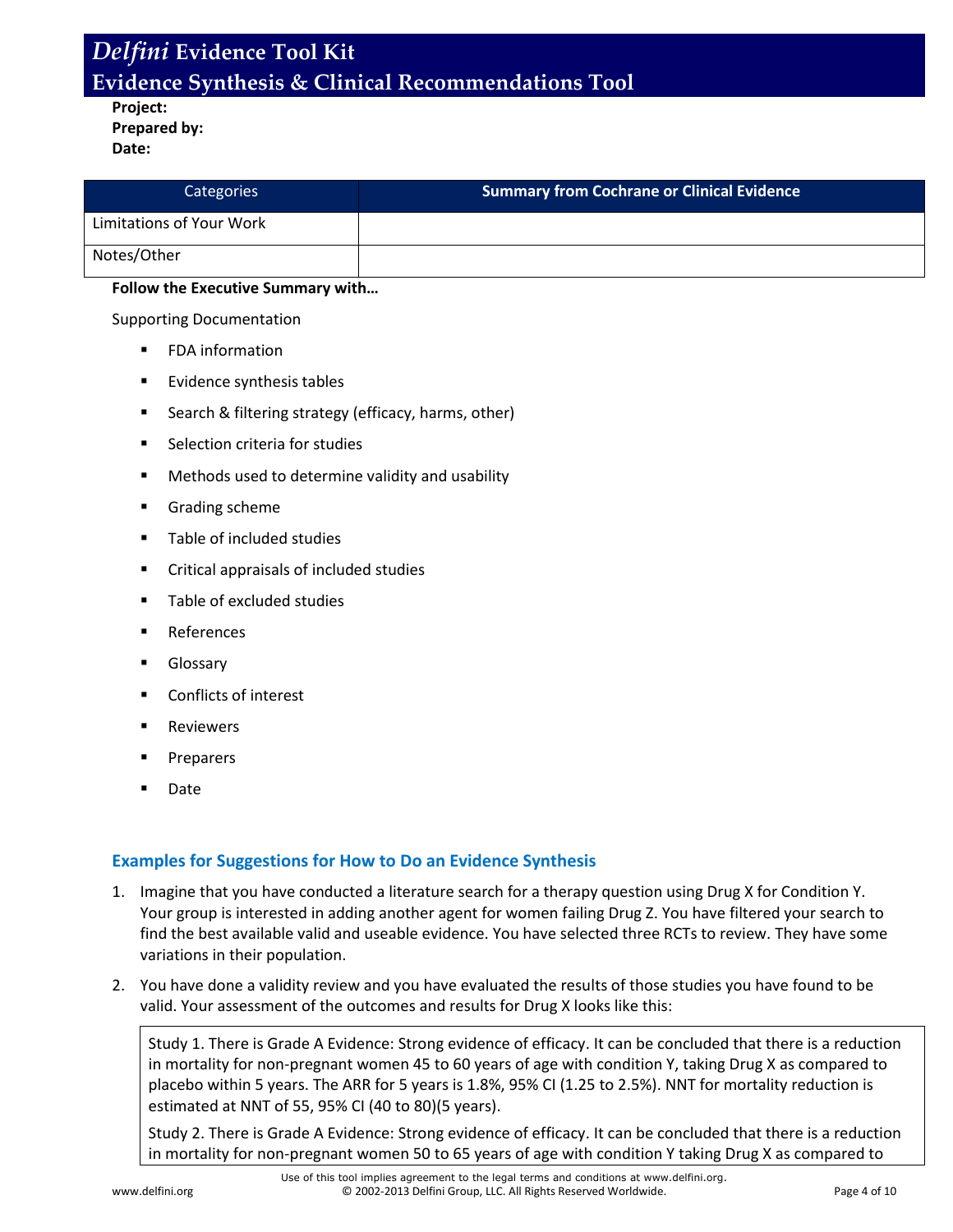**Project: Prepared by: Date:**

| Categories               | <b>Summary from Cochrane or Clinical Evidence</b> |
|--------------------------|---------------------------------------------------|
| Limitations of Your Work |                                                   |
| Notes/Other              |                                                   |

#### **Follow the Executive Summary with…**

Supporting Documentation

- FDA information
- Evidence synthesis tables
- **Search & filtering strategy (efficacy, harms, other)**
- **Selection criteria for studies**
- Methods used to determine validity and usability
- **Grading scheme**
- **Table of included studies**
- Critical appraisals of included studies
- **Table of excluded studies**
- References
- Glossary
- Conflicts of interest
- Reviewers
- Preparers
- Date

### **Examples for Suggestions for How to Do an Evidence Synthesis**

- 1. Imagine that you have conducted a literature search for a therapy question using Drug X for Condition Y. Your group is interested in adding another agent for women failing Drug Z. You have filtered your search to find the best available valid and useable evidence. You have selected three RCTs to review. They have some variations in their population.
- 2. You have done a validity review and you have evaluated the results of those studies you have found to be valid. Your assessment of the outcomes and results for Drug X looks like this:

Study 1. There is Grade A Evidence: Strong evidence of efficacy. It can be concluded that there is a reduction in mortality for non-pregnant women 45 to 60 years of age with condition Y, taking Drug X as compared to placebo within 5 years. The ARR for 5 years is 1.8%, 95% CI (1.25 to 2.5%). NNT for mortality reduction is estimated at NNT of 55, 95% CI (40 to 80)(5 years).

Study 2. There is Grade A Evidence: Strong evidence of efficacy. It can be concluded that there is a reduction in mortality for non-pregnant women 50 to 65 years of age with condition Y taking Drug X as compared to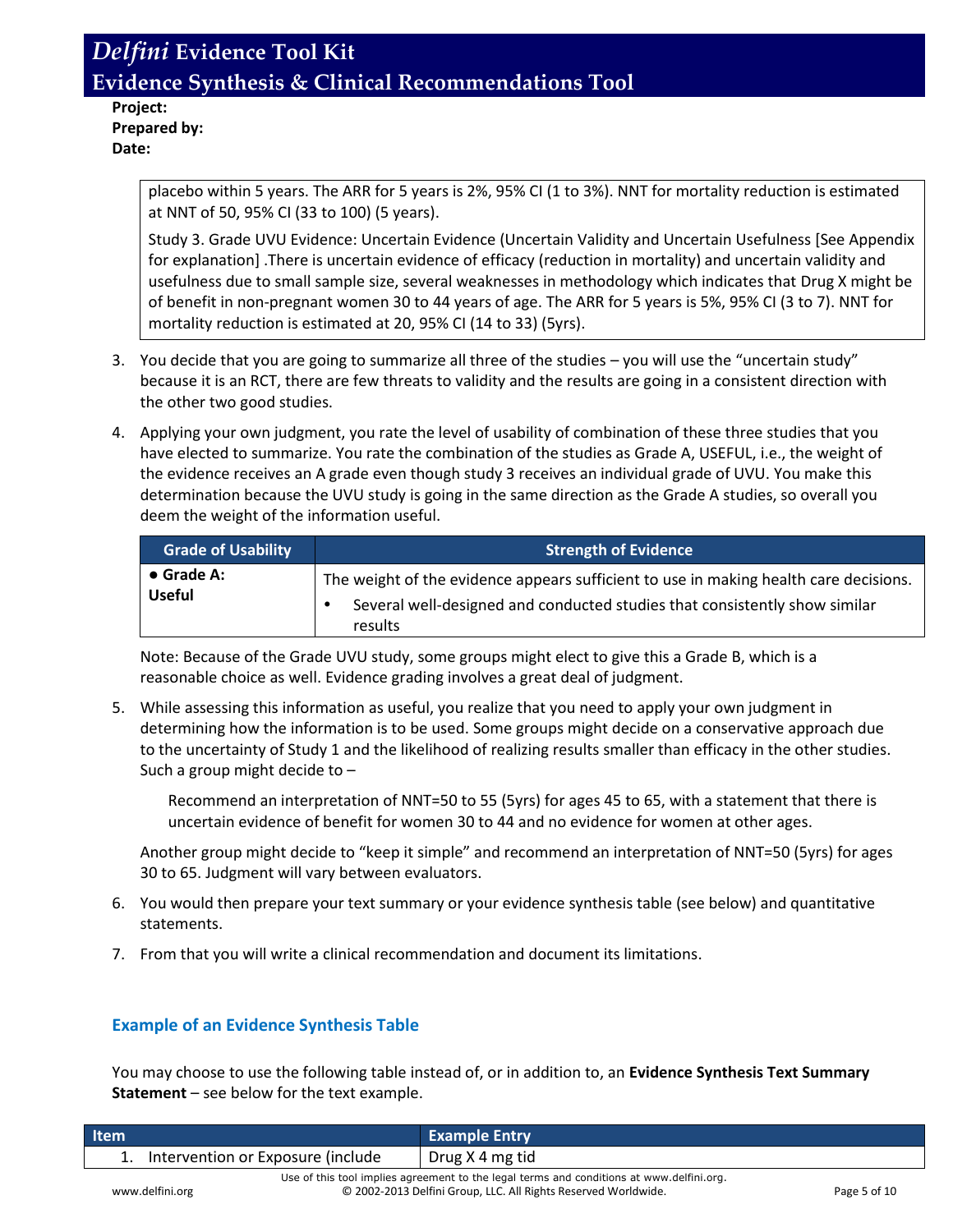**Project: Prepared by: Date:**

> placebo within 5 years. The ARR for 5 years is 2%, 95% CI (1 to 3%). NNT for mortality reduction is estimated at NNT of 50, 95% CI (33 to 100) (5 years).

Study 3. Grade UVU Evidence: Uncertain Evidence (Uncertain Validity and Uncertain Usefulness [See Appendix for explanation] .There is uncertain evidence of efficacy (reduction in mortality) and uncertain validity and usefulness due to small sample size, several weaknesses in methodology which indicates that Drug X might be of benefit in non-pregnant women 30 to 44 years of age. The ARR for 5 years is 5%, 95% CI (3 to 7). NNT for mortality reduction is estimated at 20, 95% CI (14 to 33) (5yrs).

- 3. You decide that you are going to summarize all three of the studies you will use the "uncertain study" because it is an RCT, there are few threats to validity and the results are going in a consistent direction with the other two good studies.
- 4. Applying your own judgment, you rate the level of usability of combination of these three studies that you have elected to summarize. You rate the combination of the studies as Grade A, USEFUL, i.e., the weight of the evidence receives an A grade even though study 3 receives an individual grade of UVU. You make this determination because the UVU study is going in the same direction as the Grade A studies, so overall you deem the weight of the information useful.

| <b>Grade of Usability</b>           | <b>Strength of Evidence</b>                                                                                                                                                    |  |
|-------------------------------------|--------------------------------------------------------------------------------------------------------------------------------------------------------------------------------|--|
| $\bullet$ Grade A:<br><b>Useful</b> | The weight of the evidence appears sufficient to use in making health care decisions.<br>Several well-designed and conducted studies that consistently show similar<br>results |  |

Note: Because of the Grade UVU study, some groups might elect to give this a Grade B, which is a reasonable choice as well. Evidence grading involves a great deal of judgment.

5. While assessing this information as useful, you realize that you need to apply your own judgment in determining how the information is to be used. Some groups might decide on a conservative approach due to the uncertainty of Study 1 and the likelihood of realizing results smaller than efficacy in the other studies. Such a group might decide to –

Recommend an interpretation of NNT=50 to 55 (5yrs) for ages 45 to 65, with a statement that there is uncertain evidence of benefit for women 30 to 44 and no evidence for women at other ages.

Another group might decide to "keep it simple" and recommend an interpretation of NNT=50 (5yrs) for ages 30 to 65. Judgment will vary between evaluators.

- 6. You would then prepare your text summary or your evidence synthesis table (see below) and quantitative statements.
- 7. From that you will write a clinical recommendation and document its limitations.

### **Example of an Evidence Synthesis Table**

You may choose to use the following table instead of, or in addition to, an **Evidence Synthesis Text Summary Statement** – see below for the text example.

| <b>Item</b>                          | <b>Example Entry</b>                                                                                                                                       |              |
|--------------------------------------|------------------------------------------------------------------------------------------------------------------------------------------------------------|--------------|
| 1. Intervention or Exposure (include | Drug X 4 mg tid                                                                                                                                            |              |
| www.delfini.org                      | Use of this tool implies agreement to the legal terms and conditions at www.delfini.org.<br>© 2002-2013 Delfini Group, LLC. All Rights Reserved Worldwide. | Page 5 of 10 |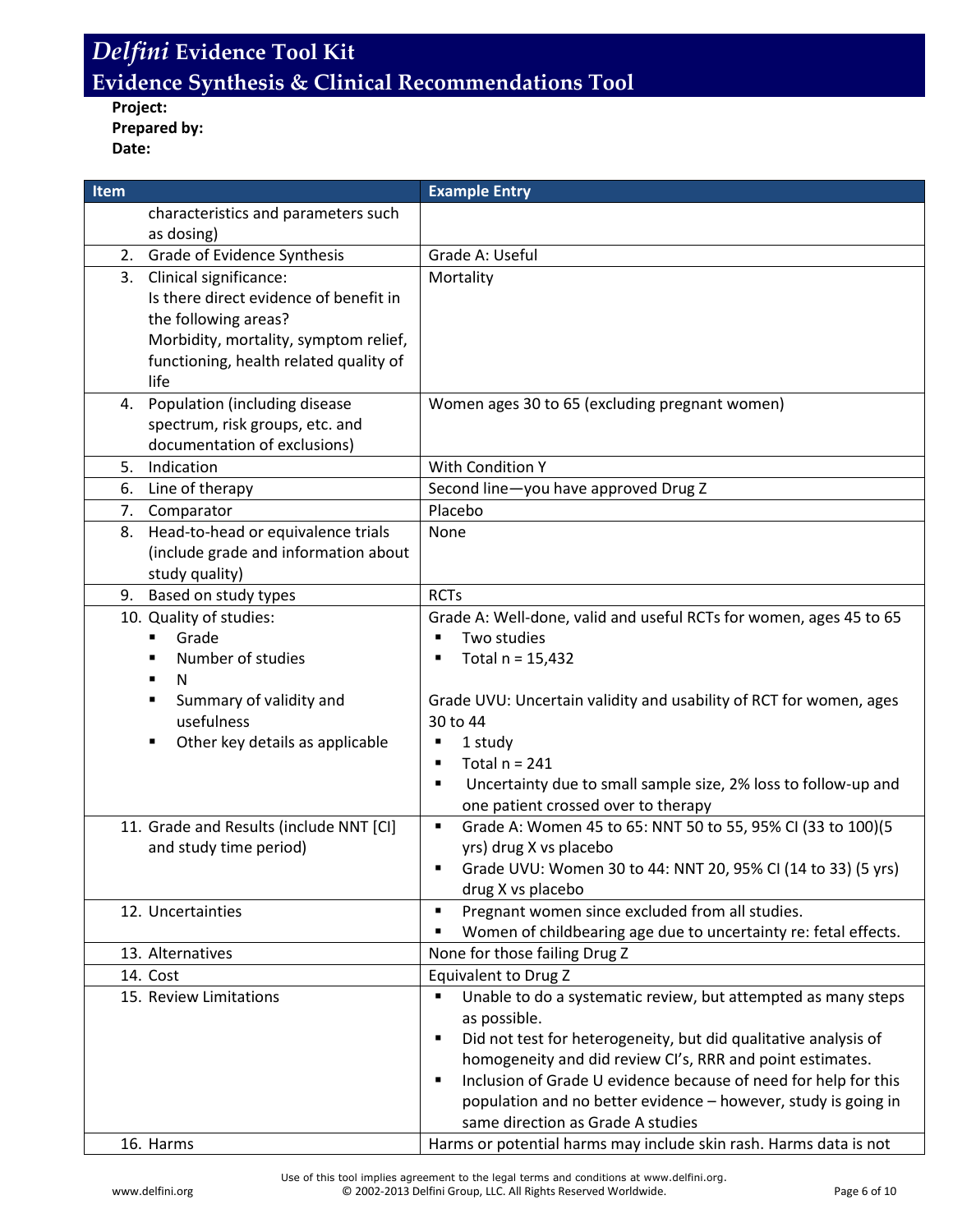**Project: Prepared by: Date:**

| <b>Item</b> |                                         | <b>Example Entry</b>                                                 |
|-------------|-----------------------------------------|----------------------------------------------------------------------|
|             | characteristics and parameters such     |                                                                      |
|             | as dosing)                              |                                                                      |
|             | 2. Grade of Evidence Synthesis          | Grade A: Useful                                                      |
| 3.          | Clinical significance:                  | Mortality                                                            |
|             | Is there direct evidence of benefit in  |                                                                      |
|             | the following areas?                    |                                                                      |
|             | Morbidity, mortality, symptom relief,   |                                                                      |
|             | functioning, health related quality of  |                                                                      |
|             | life                                    |                                                                      |
| 4.          | Population (including disease           | Women ages 30 to 65 (excluding pregnant women)                       |
|             | spectrum, risk groups, etc. and         |                                                                      |
|             | documentation of exclusions)            |                                                                      |
| 5.          | Indication                              | <b>With Condition Y</b>                                              |
| 6.          | Line of therapy                         | Second line-you have approved Drug Z                                 |
|             | 7. Comparator                           | Placebo                                                              |
| 8.          | Head-to-head or equivalence trials      | None                                                                 |
|             | (include grade and information about    |                                                                      |
|             | study quality)                          |                                                                      |
| 9.          | Based on study types                    | <b>RCTs</b>                                                          |
|             | 10. Quality of studies:                 | Grade A: Well-done, valid and useful RCTs for women, ages 45 to 65   |
|             | Grade                                   | Two studies                                                          |
|             | Number of studies                       | Total $n = 15,432$                                                   |
|             | N<br>٠                                  |                                                                      |
|             | Summary of validity and                 | Grade UVU: Uncertain validity and usability of RCT for women, ages   |
|             | usefulness                              | 30 to 44                                                             |
|             | Other key details as applicable<br>٠    | 1 study<br>п                                                         |
|             |                                         | Total $n = 241$<br>٠                                                 |
|             |                                         | Uncertainty due to small sample size, 2% loss to follow-up and<br>п  |
|             |                                         | one patient crossed over to therapy                                  |
|             | 11. Grade and Results (include NNT [CI] | Grade A: Women 45 to 65: NNT 50 to 55, 95% CI (33 to 100)(5<br>٠     |
|             | and study time period)                  | yrs) drug X vs placebo                                               |
|             |                                         | Grade UVU: Women 30 to 44: NNT 20, 95% CI (14 to 33) (5 yrs)<br>п    |
|             |                                         | drug X vs placebo                                                    |
|             | 12. Uncertainties                       | Pregnant women since excluded from all studies.<br>٠<br>٠            |
|             |                                         | Women of childbearing age due to uncertainty re: fetal effects.      |
|             | 13. Alternatives                        | None for those failing Drug Z<br><b>Equivalent to Drug Z</b>         |
|             | 14. Cost<br>15. Review Limitations      | Unable to do a systematic review, but attempted as many steps<br>٠   |
|             |                                         | as possible.                                                         |
|             |                                         | Did not test for heterogeneity, but did qualitative analysis of<br>п |
|             |                                         | homogeneity and did review CI's, RRR and point estimates.            |
|             |                                         | Inclusion of Grade U evidence because of need for help for this<br>٠ |
|             |                                         | population and no better evidence - however, study is going in       |
|             |                                         | same direction as Grade A studies                                    |
|             | 16. Harms                               | Harms or potential harms may include skin rash. Harms data is not    |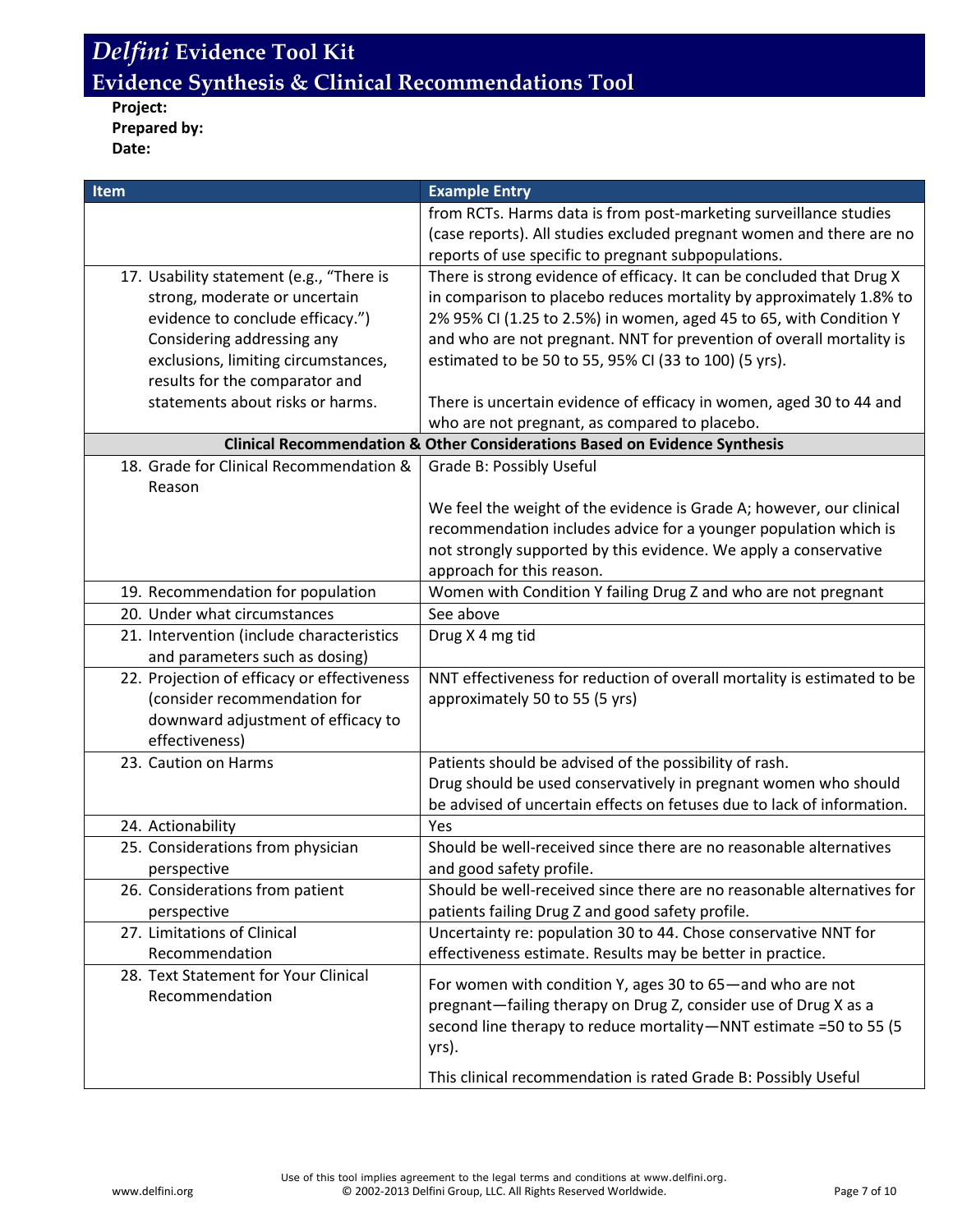## **Project: Prepared by: Date:**

| Item                                                   | <b>Example Entry</b>                                                                  |
|--------------------------------------------------------|---------------------------------------------------------------------------------------|
|                                                        | from RCTs. Harms data is from post-marketing surveillance studies                     |
|                                                        | (case reports). All studies excluded pregnant women and there are no                  |
|                                                        | reports of use specific to pregnant subpopulations.                                   |
| 17. Usability statement (e.g., "There is               | There is strong evidence of efficacy. It can be concluded that Drug X                 |
| strong, moderate or uncertain                          | in comparison to placebo reduces mortality by approximately 1.8% to                   |
| evidence to conclude efficacy.")                       | 2% 95% CI (1.25 to 2.5%) in women, aged 45 to 65, with Condition Y                    |
| Considering addressing any                             | and who are not pregnant. NNT for prevention of overall mortality is                  |
| exclusions, limiting circumstances,                    | estimated to be 50 to 55, 95% CI (33 to 100) (5 yrs).                                 |
| results for the comparator and                         |                                                                                       |
| statements about risks or harms.                       | There is uncertain evidence of efficacy in women, aged 30 to 44 and                   |
|                                                        | who are not pregnant, as compared to placebo.                                         |
|                                                        | <b>Clinical Recommendation &amp; Other Considerations Based on Evidence Synthesis</b> |
| 18. Grade for Clinical Recommendation &<br>Reason      | Grade B: Possibly Useful                                                              |
|                                                        | We feel the weight of the evidence is Grade A; however, our clinical                  |
|                                                        | recommendation includes advice for a younger population which is                      |
|                                                        | not strongly supported by this evidence. We apply a conservative                      |
|                                                        | approach for this reason.                                                             |
| 19. Recommendation for population                      | Women with Condition Y failing Drug Z and who are not pregnant                        |
| 20. Under what circumstances                           | See above                                                                             |
| 21. Intervention (include characteristics              | Drug X 4 mg tid                                                                       |
| and parameters such as dosing)                         |                                                                                       |
| 22. Projection of efficacy or effectiveness            | NNT effectiveness for reduction of overall mortality is estimated to be               |
| (consider recommendation for                           | approximately 50 to 55 (5 yrs)                                                        |
| downward adjustment of efficacy to                     |                                                                                       |
| effectiveness)                                         |                                                                                       |
| 23. Caution on Harms                                   | Patients should be advised of the possibility of rash.                                |
|                                                        | Drug should be used conservatively in pregnant women who should                       |
|                                                        | be advised of uncertain effects on fetuses due to lack of information.                |
| 24. Actionability                                      | Yes                                                                                   |
| 25. Considerations from physician                      | Should be well-received since there are no reasonable alternatives                    |
| perspective                                            | and good safety profile.                                                              |
| 26. Considerations from patient                        | Should be well-received since there are no reasonable alternatives for                |
| perspective                                            | patients failing Drug Z and good safety profile.                                      |
| 27. Limitations of Clinical                            | Uncertainty re: population 30 to 44. Chose conservative NNT for                       |
| Recommendation<br>28. Text Statement for Your Clinical | effectiveness estimate. Results may be better in practice.                            |
| Recommendation                                         | For women with condition Y, ages 30 to 65-and who are not                             |
|                                                        | pregnant-failing therapy on Drug Z, consider use of Drug X as a                       |
|                                                        | second line therapy to reduce mortality-NNT estimate =50 to 55 (5                     |
|                                                        | yrs).                                                                                 |
|                                                        | This clinical recommendation is rated Grade B: Possibly Useful                        |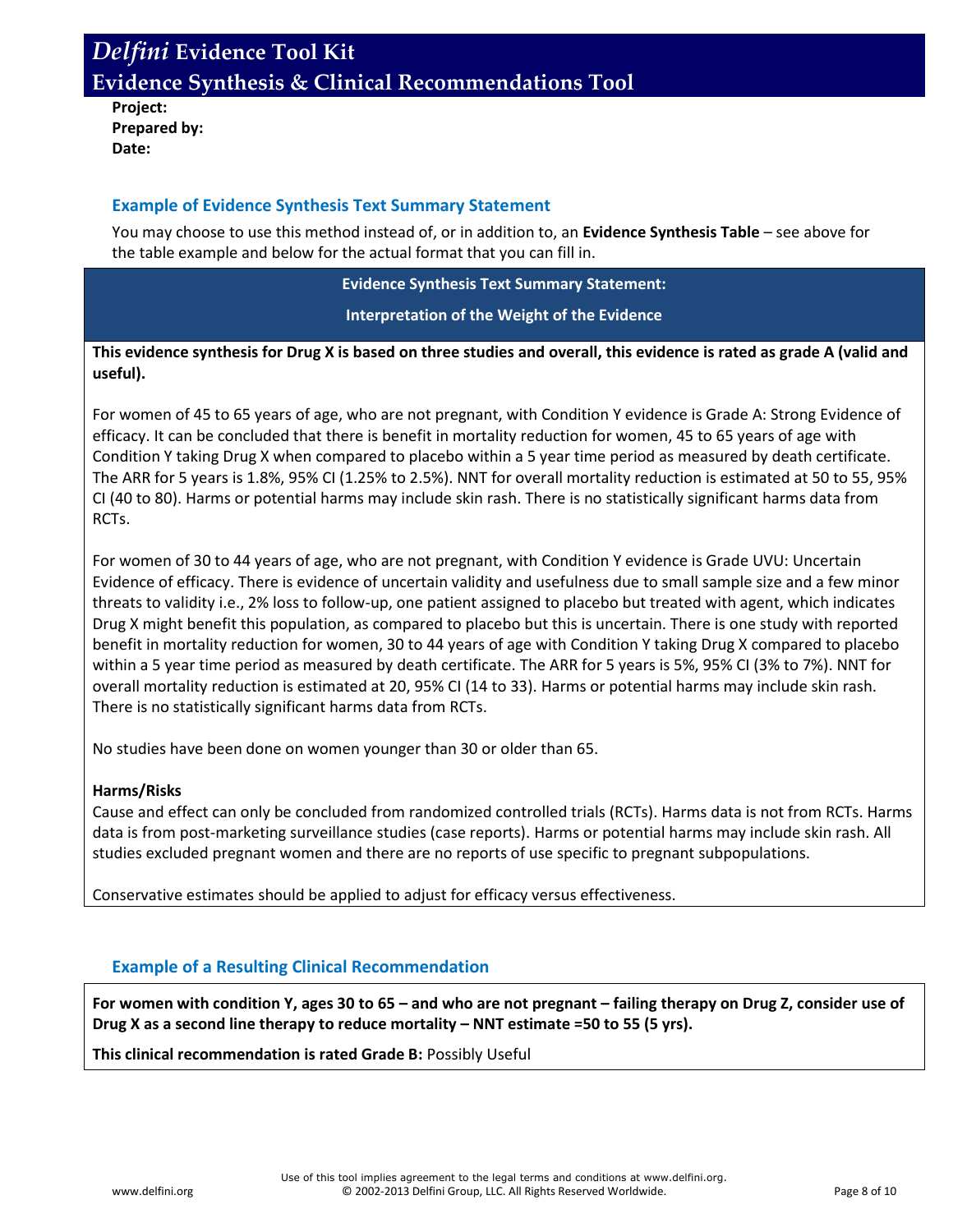**Project: Prepared by: Date:**

#### **Example of Evidence Synthesis Text Summary Statement**

You may choose to use this method instead of, or in addition to, an **Evidence Synthesis Table** – see above for the table example and below for the actual format that you can fill in.

#### **Evidence Synthesis Text Summary Statement:**

**Interpretation of the Weight of the Evidence**

### **This evidence synthesis for Drug X is based on three studies and overall, this evidence is rated as grade A (valid and useful).**

For women of 45 to 65 years of age, who are not pregnant, with Condition Y evidence is Grade A: Strong Evidence of efficacy. It can be concluded that there is benefit in mortality reduction for women, 45 to 65 years of age with Condition Y taking Drug X when compared to placebo within a 5 year time period as measured by death certificate. The ARR for 5 years is 1.8%, 95% CI (1.25% to 2.5%). NNT for overall mortality reduction is estimated at 50 to 55, 95% CI (40 to 80). Harms or potential harms may include skin rash. There is no statistically significant harms data from RCTs.

For women of 30 to 44 years of age, who are not pregnant, with Condition Y evidence is Grade UVU: Uncertain Evidence of efficacy. There is evidence of uncertain validity and usefulness due to small sample size and a few minor threats to validity i.e., 2% loss to follow-up, one patient assigned to placebo but treated with agent, which indicates Drug X might benefit this population, as compared to placebo but this is uncertain. There is one study with reported benefit in mortality reduction for women, 30 to 44 years of age with Condition Y taking Drug X compared to placebo within a 5 year time period as measured by death certificate. The ARR for 5 years is 5%, 95% CI (3% to 7%). NNT for overall mortality reduction is estimated at 20, 95% CI (14 to 33). Harms or potential harms may include skin rash. There is no statistically significant harms data from RCTs.

No studies have been done on women younger than 30 or older than 65.

#### **Harms/Risks**

Cause and effect can only be concluded from randomized controlled trials (RCTs). Harms data is not from RCTs. Harms data is from post-marketing surveillance studies (case reports). Harms or potential harms may include skin rash. All studies excluded pregnant women and there are no reports of use specific to pregnant subpopulations.

Conservative estimates should be applied to adjust for efficacy versus effectiveness.

## **Example of a Resulting Clinical Recommendation**

**For women with condition Y, ages 30 to 65 – and who are not pregnant – failing therapy on Drug Z, consider use of Drug X as a second line therapy to reduce mortality – NNT estimate =50 to 55 (5 yrs).**

**This clinical recommendation is rated Grade B:** Possibly Useful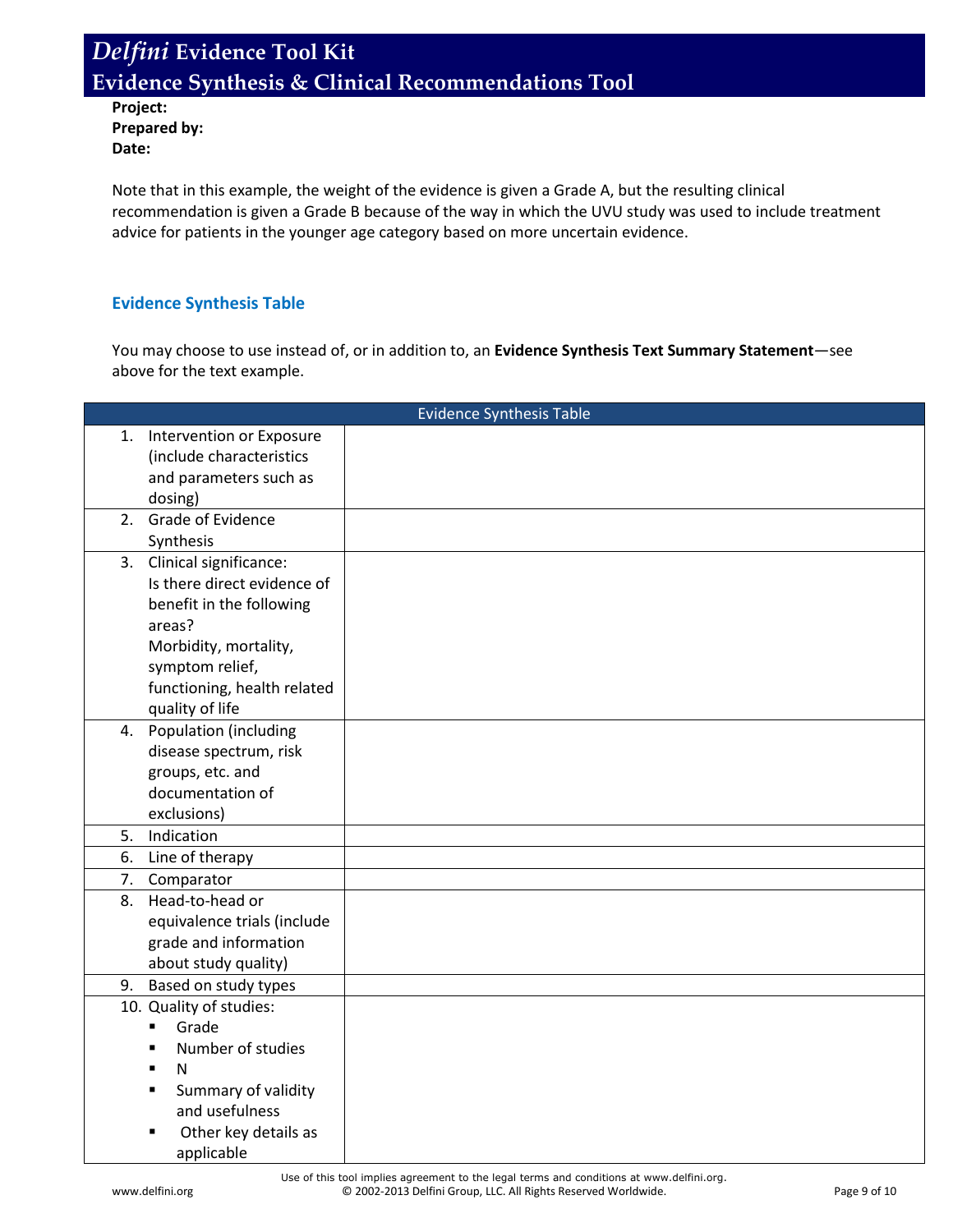**Project: Prepared by: Date:**

Note that in this example, the weight of the evidence is given a Grade A, but the resulting clinical recommendation is given a Grade B because of the way in which the UVU study was used to include treatment advice for patients in the younger age category based on more uncertain evidence.

### **Evidence Synthesis Table**

You may choose to use instead of, or in addition to, an **Evidence Synthesis Text Summary Statement**—see above for the text example.

| <b>Evidence Synthesis Table</b> |                                     |  |
|---------------------------------|-------------------------------------|--|
| 1.                              | Intervention or Exposure            |  |
|                                 | (include characteristics            |  |
|                                 | and parameters such as              |  |
|                                 | dosing)                             |  |
|                                 | 2. Grade of Evidence                |  |
|                                 | Synthesis                           |  |
|                                 | 3. Clinical significance:           |  |
|                                 | Is there direct evidence of         |  |
|                                 | benefit in the following            |  |
|                                 | areas?                              |  |
|                                 | Morbidity, mortality,               |  |
|                                 | symptom relief,                     |  |
|                                 | functioning, health related         |  |
|                                 | quality of life                     |  |
|                                 | 4. Population (including            |  |
|                                 | disease spectrum, risk              |  |
|                                 | groups, etc. and                    |  |
|                                 | documentation of                    |  |
|                                 | exclusions)                         |  |
| 5.                              | Indication                          |  |
| 6.                              | Line of therapy                     |  |
| 7.                              | Comparator                          |  |
| 8.                              | Head-to-head or                     |  |
|                                 | equivalence trials (include         |  |
|                                 | grade and information               |  |
|                                 | about study quality)                |  |
| 9.                              | Based on study types                |  |
|                                 | 10. Quality of studies:             |  |
|                                 | Grade<br>$\blacksquare$             |  |
|                                 | Number of studies<br>$\blacksquare$ |  |
|                                 | N<br>$\blacksquare$                 |  |
|                                 | Summary of validity<br>٠            |  |
|                                 | and usefulness                      |  |
|                                 | Other key details as                |  |
|                                 | applicable                          |  |

Use of this tool implies agreement to the legal terms and conditions at www.delfini.org. www.delfini.org entitled the CD 2002-2013 Delfini Group, LLC. All Rights Reserved Worldwide. Page 9 of 10